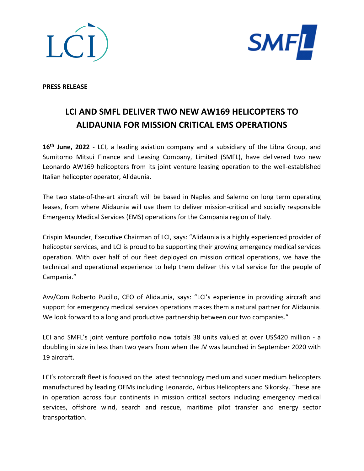



**PRESS RELEASE**

## **LCI AND SMFL DELIVER TWO NEW AW169 HELICOPTERS TO ALIDAUNIA FOR MISSION CRITICAL EMS OPERATIONS**

16<sup>th</sup> June, 2022 - LCI, a leading aviation company and a subsidiary of the Libra Group, and Sumitomo Mitsui Finance and Leasing Company, Limited (SMFL), have delivered two new Leonardo AW169 helicopters from its joint venture leasing operation to the well-established Italian helicopter operator, Alidaunia.

The two state-of-the-art aircraft will be based in Naples and Salerno on long term operating leases, from where Alidaunia will use them to deliver mission-critical and socially responsible Emergency Medical Services (EMS) operations for the Campania region of Italy.

Crispin Maunder, Executive Chairman of LCI, says: "Alidaunia is a highly experienced provider of helicopter services, and LCI is proud to be supporting their growing emergency medical services operation. With over half of our fleet deployed on mission critical operations, we have the technical and operational experience to help them deliver this vital service for the people of Campania."

Avv/Com Roberto Pucillo, CEO of Alidaunia, says: "LCI's experience in providing aircraft and support for emergency medical services operations makes them a natural partner for Alidaunia. We look forward to a long and productive partnership between our two companies."

LCI and SMFL's joint venture portfolio now totals 38 units valued at over US\$420 million - a doubling in size in less than two years from when the JV was launched in September 2020 with 19 aircraft.

LCI's rotorcraft fleet is focused on the latest technology medium and super medium helicopters manufactured by leading OEMs including Leonardo, Airbus Helicopters and Sikorsky. These are in operation across four continents in mission critical sectors including emergency medical services, offshore wind, search and rescue, maritime pilot transfer and energy sector transportation.